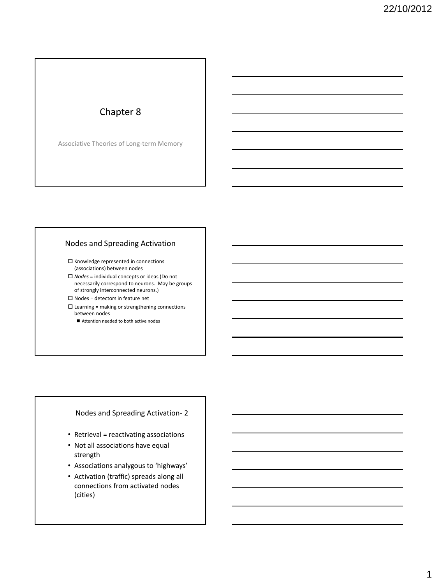## Chapter 8

Associative Theories of Long-term Memory

### Nodes and Spreading Activation

 $\square$  Knowledge represented in connections (associations) between nodes

 *Nodes* = individual concepts or ideas (Do not necessarily correspond to neurons. May be groups of strongly interconnected neurons.)

 $\square$  Nodes = detectors in feature net  $\square$  Learning = making or strengthening connections between nodes

■ Attention needed to both active nodes

Nodes and Spreading Activation- 2

- Retrieval = reactivating associations
- Not all associations have equal strength
- Associations analygous to 'highways'
- Activation (traffic) spreads along all connections from activated nodes (cities)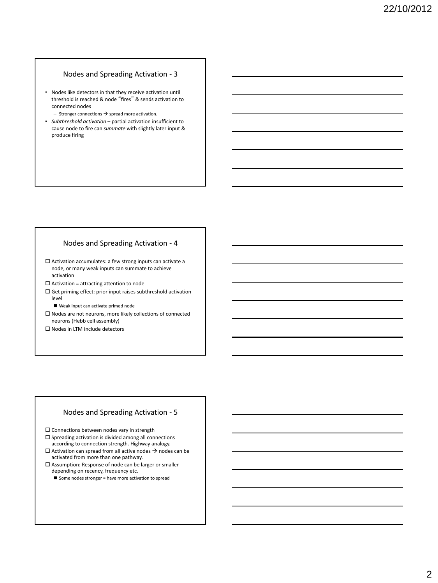### Nodes and Spreading Activation - 3

- Nodes like detectors in that they receive activation until threshold is reached & node "fires" & sends activation to connected nodes
	- $-$  Stronger connections  $\rightarrow$  spread more activation.
- *Subthreshold activation* partial activation insufficient to cause node to fire can *summate* with slightly later input & produce firing

#### Nodes and Spreading Activation - 4

 $\square$  Activation accumulates: a few strong inputs can activate a node, or many weak inputs can summate to achieve activation

 $\square$  Activation = attracting attention to node

 Get priming effect: prior input raises subthreshold activation level

Weak input can activate primed node

 $\square$  Nodes are not neurons, more likely collections of connected neurons (Hebb cell assembly)

□ Nodes in LTM include detectors

#### Nodes and Spreading Activation - 5

 $\square$  Connections between nodes vary in strength

- $\square$  Spreading activation is divided among all connections according to connection strength. Highway analogy.
- $\square$  Activation can spread from all active nodes  $\rightarrow$  nodes can be activated from more than one pathway.
- $\square$  <br> Assumption: Response of node can be larger or smaller depending on recency, frequency etc.
	- $\blacksquare$  Some nodes stronger = have more activation to spread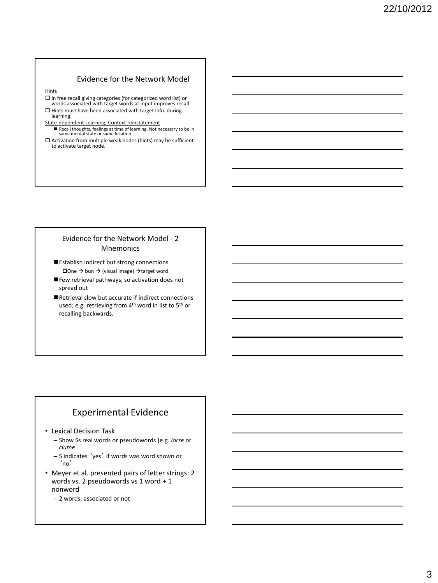### Evidence for the Network Model

Hints

 $\square$  In free recall giving categories (for categorized word list) or words associated with target words at input improves recall  $\Box$  Hints must have been associated with target info. during learning.

#### State-dependent Learning, Context reinstatement

- Recall thoughts, feelings at time of learning. Not necessary to be in same mental state or same location
- $\square$  Activation from multiple weak nodes (hints) may be sufficient to activate target node.

### Evidence for the Network Model - 2 Mnemonics

- Establish indirect but strong connections  $\Box$ One  $\rightarrow$  bun  $\rightarrow$  (visual image)  $\rightarrow$  target word
- Few retrieval pathways, so activation does not spread out
- Retrieval slow but accurate if indirect connections used; e.g. retrieving from 4<sup>th</sup> word in list to 5<sup>th</sup> or recalling backwards.

### Experimental Evidence

- Lexical Decision Task
	- Show Ss real words or pseudowords (e.g. *lorse* or *clume*
	- S indicates 'yes' if words was word shown or 'no'
- Meyer et al. presented pairs of letter strings: 2 words vs. 2 pseudowords vs 1 word + 1 nonword
	- 2 words, associated or not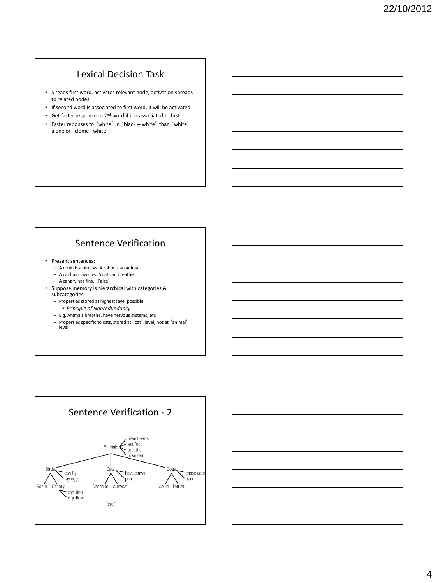# Lexical Decision Task

- S reads first word, activates relevant node, activation spreads to related nodes
- If second word is associated to first word, it will be activated
- Get faster response to 2nd word if it is associated to first
- Faster reponses to 'white' in 'black -- white' than 'white' alone or 'clome– white'

## Sentence Verification

- Present sentences:
	- A robin is a bird. vs. A robin is an animal.
	- A cat has claws. vs. A cat can breathe.
	- A canary has fins. (False)
- Suppose memory is hierarchical with categories & subcategories
	- Properties stored at highest level possible
		- *Principle of Nonredundancy*
	- E.g. Animals breathe, have nervous systems, etc
	- Properties specific to cats, stored at 'cat' level, not at 'animal' level



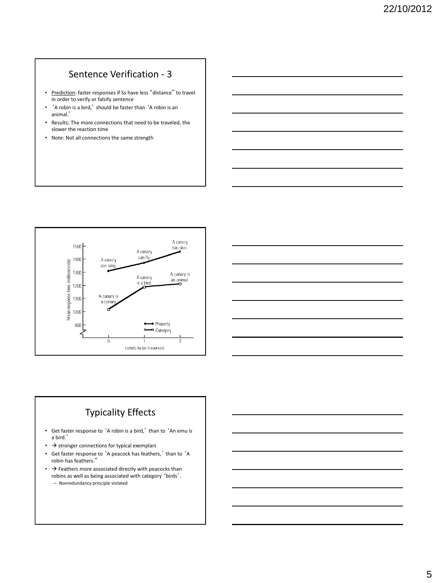# Sentence Verification - 3

- Prediction: faster responses if Ss have less "distance" to travel in order to verify or falsify sentence
- 'A robin is a bird,' should be faster than 'A robin is an animal.'
- Results: The more connections that need to be traveled, the slower the reaction time
- Note: Not all connections the same strength





## Typicality Effects

- Get faster response to 'A robin is a bird,' than to 'An emu is a bird.'
- $\bullet\ \rightarrow$  stronger connections for typical exemplars
- Get faster response to 'A peacock has feathers,' than to 'A robin has feathers."
- $\cdot$   $\rightarrow$  Feathers more associated directly with peacocks than robins as well as being associated with category 'birds'. – Nonredundancy principle violated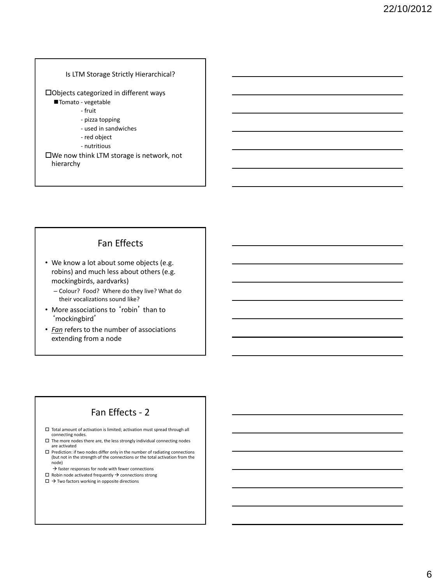#### Is LTM Storage Strictly Hierarchical?

Objects categorized in different ways

- Tomato vegetable
	- fruit
	- pizza topping
	- used in sandwiches
	- red object
	- nutritious

We now think LTM storage is network, not hierarchy

### Fan Effects

- We know a lot about some objects (e.g. robins) and much less about others (e.g. mockingbirds, aardvarks)
	- Colour? Food? Where do they live? What do their vocalizations sound like?
- More associations to 'robin' than to 'mockingbird'
- *Fan* refers to the number of associations extending from a node

## Fan Effects - 2

- $\square$  Total amount of activation is limited; activation must spread through all connecting nodes.
- $\Box$  The more nodes there are, the less strongly individual connecting nodes are activated
- $\square$  <br> Prediction: if two nodes differ only in the number of radiating connections (but not in the strength of the connections or the total activation from the node)
	- $\rightarrow$  faster responses for node with fewer connections
- $\Box~$  Robin node activated frequently  $\Rightarrow$  connections strong
- $\square \rightarrow$  Two factors working in opposite directions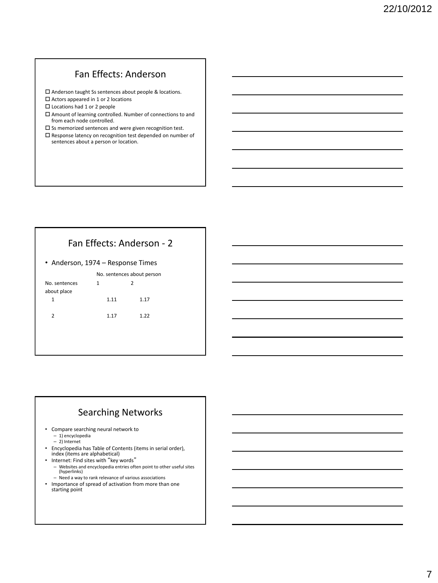## Fan Effects: Anderson

Anderson taught Ss sentences about people & locations.

□ Actors appeared in 1 or 2 locations

□ Locations had 1 or 2 people

 $\square$  <br> Amount of learning controlled. Number of connections to and from each node controlled.

 $\square$  Ss memorized sentences and were given recognition test.

 Response latency on recognition test depended on number of sentences about a person or location.

## Fan Effects: Anderson - 2

• Anderson, 1974 – Response Times

No. sentences about person

| No. sentences |      | っ     |
|---------------|------|-------|
| about place   |      |       |
| 1             | 1.11 | 1 1 7 |
| $\mathcal{P}$ | 1.17 | 1.22  |

### Searching Networks

- Compare searching neural network to – 1) encyclopedia
	- 2) Internet
- Encyclopedia has Table of Contents (items in serial order), index (items are alphabetical)
- Internet: Find sites with "key words"
	- Websites and encyclopedia entries often point to other useful sites (hyperlinks)
	- Need a way to rank relevance of various associations
- Importance of spread of activation from more than one starting point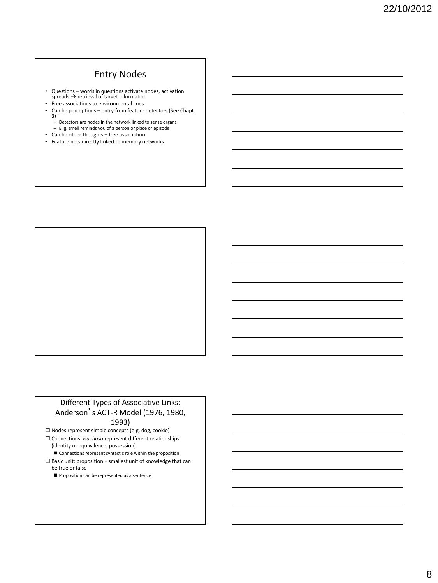## Entry Nodes

- Questions words in questions activate nodes, activation spreads  $\rightarrow$  retrieval of target information
- Free associations to environmental cues
- Can be perceptions entry from feature detectors (See Chapt. 3)
	- Detectors are nodes in the network linked to sense organs
- E. g. smell reminds you of a person or place or episode • Can be other thoughts – free association
- Feature nets directly linked to memory networks

### Different Types of Associative Links: Anderson's ACT-R Model (1976, 1980, 1993)

 $\square$  Nodes represent simple concepts (e.g. dog, cookie)

- Connections: *isa*, *hasa* represent different relationships (identity or equivalence, possession)
	- Connections represent syntactic role within the proposition
- $\square$  Basic unit: proposition = smallest unit of knowledge that can be true or false
	- Proposition can be represented as a sentence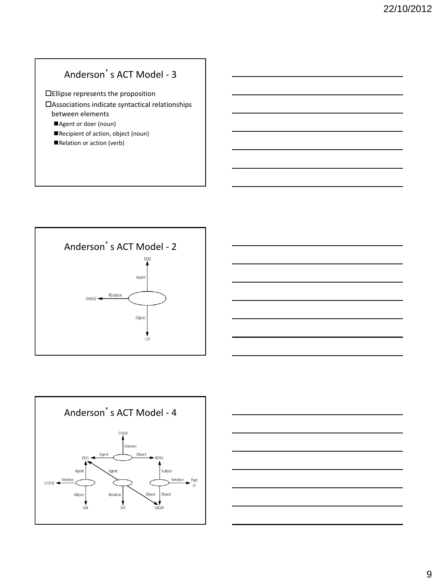# Anderson's ACT Model - 3

Ellipse represents the proposition

- Associations indicate syntactical relationships between elements
	- Agent or doer (noun)
	- Recipient of action, object (noun)
	- Relation or action (verb)







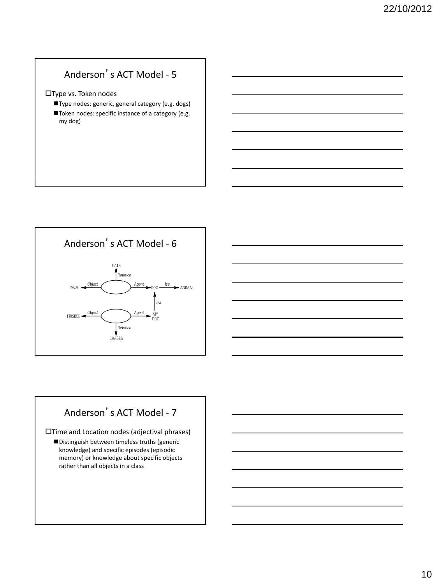# Anderson's ACT Model - 5

Type vs. Token nodes

- Type nodes: generic, general category (e.g. dogs)
- Token nodes: specific instance of a category (e.g. my dog)





Time and Location nodes (adjectival phrases)

Distinguish between timeless truths (generic knowledge) and specific episodes (episodic memory) or knowledge about specific objects rather than all objects in a class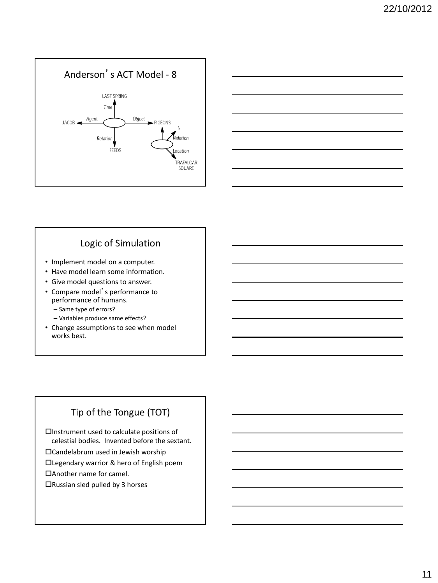



## Logic of Simulation

- Implement model on a computer.
- Have model learn some information.
- Give model questions to answer.
- Compare model's performance to performance of humans.
	- Same type of errors?
	- Variables produce same effects?
- Change assumptions to see when model works best.

## Tip of the Tongue (TOT)

Instrument used to calculate positions of celestial bodies. Invented before the sextant.

Candelabrum used in Jewish worship

Legendary warrior & hero of English poem

Another name for camel.

Russian sled pulled by 3 horses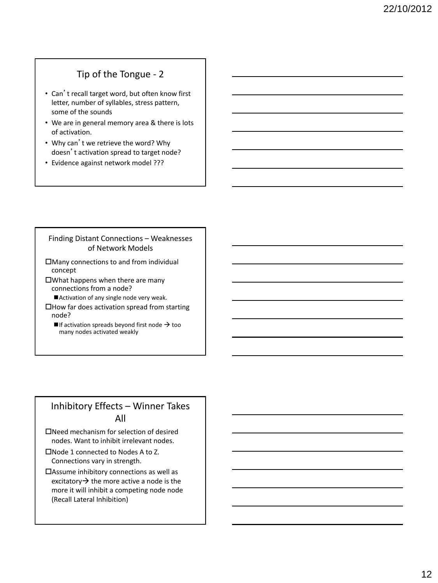## Tip of the Tongue - 2

- Can't recall target word, but often know first letter, number of syllables, stress pattern, some of the sounds
- We are in general memory area & there is lots of activation.
- Why can't we retrieve the word? Why doesn't activation spread to target node?
- Evidence against network model ???

### Finding Distant Connections – Weaknesses of Network Models

Many connections to and from individual concept

What happens when there are many connections from a node?

Activation of any single node very weak.

How far does activation spread from starting node?

 $\blacksquare$  If activation spreads beyond first node  $\rightarrow$  too many nodes activated weakly

### Inhibitory Effects – Winner Takes All

Need mechanism for selection of desired nodes. Want to inhibit irrelevant nodes.

- Node 1 connected to Nodes A to Z. Connections vary in strength.
- Assume inhibitory connections as well as excitatory  $\rightarrow$  the more active a node is the more it will inhibit a competing node node (Recall Lateral Inhibition)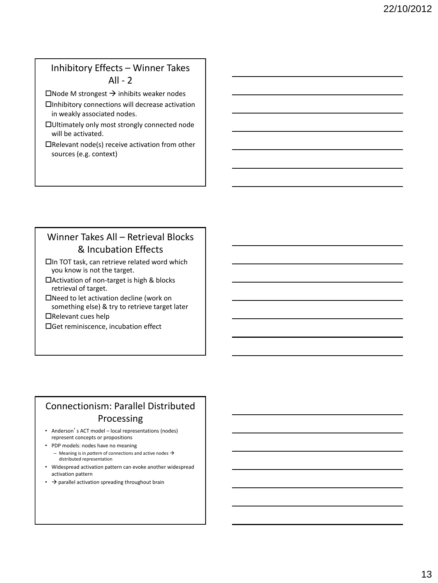## Inhibitory Effects – Winner Takes  $All - 2$

 $\Box$ Node M strongest  $\rightarrow$  inhibits weaker nodes

- Inhibitory connections will decrease activation in weakly associated nodes.
- Ultimately only most strongly connected node will be activated.
- $\Box$ Relevant node(s) receive activation from other sources (e.g. context)

# Winner Takes All – Retrieval Blocks & Incubation Effects

In TOT task, can retrieve related word which you know is not the target.

- Activation of non-target is high & blocks retrieval of target.
- Need to let activation decline (work on something else) & try to retrieve target later

Relevant cues help

Get reminiscence, incubation effect

## Connectionism: Parallel Distributed Processing

- Anderson's ACT model local representations (nodes) represent concepts or propositions
- PDP models: nodes have no meaning
	- $-$  Meaning is in *pattern* of connections and active nodes  $\rightarrow$ distributed representation
- Widespread activation pattern can evoke another widespread activation pattern
- $\rightarrow$  parallel activation spreading throughout brain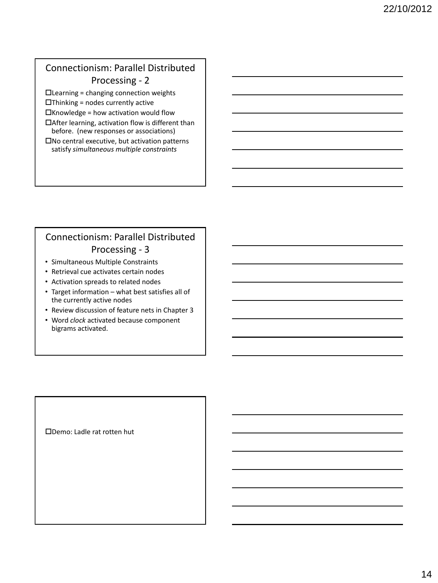## Connectionism: Parallel Distributed Processing - 2

 $\Box$  Learning = changing connection weights

 $\Box$ Thinking = nodes currently active

 $\Box$ Knowledge = how activation would flow

 $\Box$ After learning, activation flow is different than before. (new responses or associations)

 $\square$  No central executive, but activation patterns satisfy *simultaneous multiple constraints*

## Connectionism: Parallel Distributed Processing - 3

- Simultaneous Multiple Constraints
- Retrieval cue activates certain nodes
- Activation spreads to related nodes
- Target information what best satisfies all of the currently active nodes
- Review discussion of feature nets in Chapter 3
- Word *clock* activated because component bigrams activated.

Demo: Ladle rat rotten hut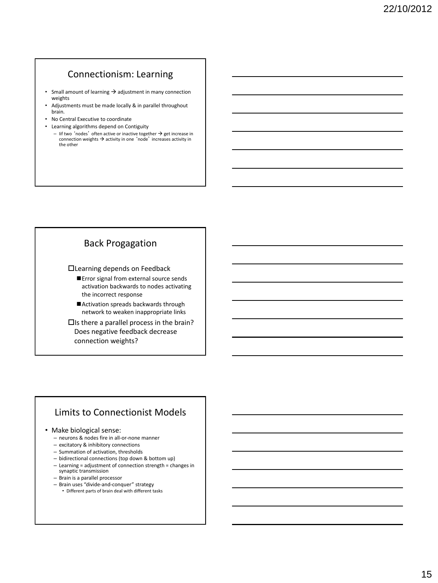### Connectionism: Learning

- Small amount of learning  $\rightarrow$  adjustment in many connection weights
- Adjustments must be made locally & in parallel throughout brain.
- No Central Executive to coordinate
- Learning algorithms depend on Contiguity
	- Iif two 'nodes' often active or inactive together  $\rightarrow$  get increase in connection weights  $\rightarrow$  activity in one 'node' increases activity in the other

### Back Progagation

Learning depends on Feedback

- **Error signal from external source sends** activation backwards to nodes activating the incorrect response
- Activation spreads backwards through network to weaken inappropriate links
- $\square$ Is there a parallel process in the brain? Does negative feedback decrease connection weights?

### Limits to Connectionist Models

#### • Make biological sense:

- neurons & nodes fire in all-or-none manner
- excitatory & inhibitory connections
- Summation of activation, thresholds
- bidirectional connections (top down & bottom up)
- Learning = adjustment of connection strength = changes in synaptic transmission
- Brain is a parallel processor
- Brain uses "divide-and-conquer" strategy
	- Different parts of brain deal with different tasks